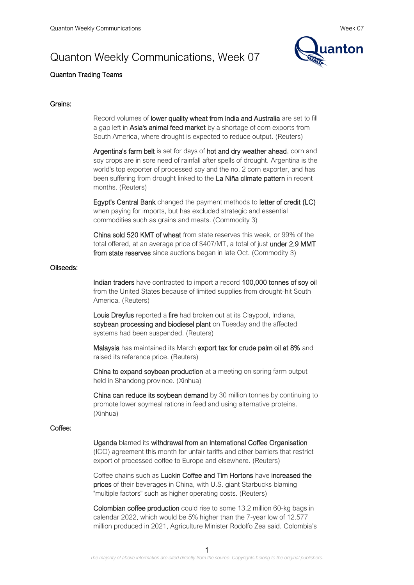# Quanton Weekly Communications, Week 07



## Quanton Trading Teams

### Grains:

Record volumes of lower quality wheat from India and Australia are set to fill a gap left in Asia's animal feed market by a shortage of corn exports from South America, where drought is expected to reduce output. (Reuters)

Argentina's farm belt is set for days of hot and dry weather ahead, corn and soy crops are in sore need of rainfall after spells of drought. Argentina is the world's top exporter of processed soy and the no. 2 corn exporter, and has been suffering from drought linked to the La Niña climate pattern in recent months. (Reuters)

Egypt's Central Bank changed the payment methods to letter of credit (LC) when paying for imports, but has excluded strategic and essential commodities such as grains and meats. (Commodity 3)

China sold 520 KMT of wheat from state reserves this week, or 99% of the total offered, at an average price of \$407/MT, a total of just under 2.9 MMT from state reserves since auctions began in late Oct. (Commodity 3)

#### Oilseeds:

Indian traders have contracted to import a record 100,000 tonnes of soy oil from the United States because of limited supplies from drought-hit South America. (Reuters)

Louis Dreyfus reported a fire had broken out at its Claypool, Indiana, soybean processing and biodiesel plant on Tuesday and the affected systems had been suspended. (Reuters)

Malaysia has maintained its March export tax for crude palm oil at 8% and raised its reference price. (Reuters)

China to expand soybean production at a meeting on spring farm output held in Shandong province. (Xinhua)

China can reduce its soybean demand by 30 million tonnes by continuing to promote lower soymeal rations in feed and using alternative proteins. (Xinhua)

#### Coffee:

#### Uganda blamed its withdrawal from an International Coffee Organisation

(ICO) agreement this month for unfair tariffs and other barriers that restrict export of processed coffee to Europe and elsewhere. (Reuters)

Coffee chains such as Luckin Coffee and Tim Hortons have increased the prices of their beverages in China, with U.S. giant Starbucks blaming "multiple factors" such as higher operating costs. (Reuters)

Colombian coffee production could rise to some 13.2 million 60-kg bags in calendar 2022, which would be 5% higher than the 7-year low of 12.577 million produced in 2021, Agriculture Minister Rodolfo Zea said. Colombia's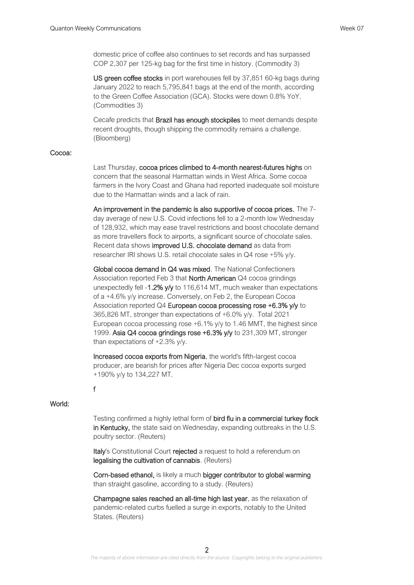domestic price of coffee also continues to set records and has surpassed COP 2,307 per 125-kg bag for the first time in history. (Commodity 3)

US green coffee stocks in port warehouses fell by 37,851 60-kg bags during January 2022 to reach 5,795,841 bags at the end of the month, according to the Green Coffee Association (GCA). Stocks were down 0.8% YoY. (Commodities 3)

Cecafe predicts that Brazil has enough stockpiles to meet demands despite recent droughts, though shipping the commodity remains a challenge. (Bloomberg)

## Cocoa:

Last Thursday, cocoa prices climbed to 4-month nearest-futures highs on concern that the seasonal Harmattan winds in West Africa. Some cocoa farmers in the Ivory Coast and Ghana had reported inadequate soil moisture due to the Harmattan winds and a lack of rain.

An improvement in the pandemic is also supportive of cocoa prices. The 7 day average of new U.S. Covid infections fell to a 2-month low Wednesday of 128,932, which may ease travel restrictions and boost chocolate demand as more travellers flock to airports, a significant source of chocolate sales. Recent data shows improved U.S. chocolate demand as data from researcher IRI shows U.S. retail chocolate sales in Q4 rose +5% y/y.

Global cocoa demand in Q4 was mixed. The National Confectioners Association reported Feb 3 that North American Q4 cocoa grindings unexpectedly fell -1.2% y/y to 116,614 MT, much weaker than expectations of a +4.6% y/y increase. Conversely, on Feb 2, the European Cocoa Association reported Q4 European cocoa processing rose +6.3% y/y to 365,826 MT, stronger than expectations of +6.0% y/y. Total 2021 European cocoa processing rose  $+6.1\%$  y/y to 1.46 MMT, the highest since 1999. Asia Q4 cocoa grindings rose +6.3% y/y to 231,309 MT, stronger than expectations of +2.3% y/y.

Increased cocoa exports from Nigeria, the world's fifth-largest cocoa producer, are bearish for prices after Nigeria Dec cocoa exports surged +190% y/y to 134,227 MT.

## f

## World:

Testing confirmed a highly lethal form of bird flu in a commercial turkey flock in Kentucky, the state said on Wednesday, expanding outbreaks in the U.S. poultry sector. (Reuters)

Italy's Constitutional Court rejected a request to hold a referendum on legalising the cultivation of cannabis. (Reuters)

Corn-based ethanol, is likely a much bigger contributor to global warming than straight gasoline, according to a study. (Reuters)

Champagne sales reached an all-time high last year, as the relaxation of pandemic-related curbs fuelled a surge in exports, notably to the United States. (Reuters)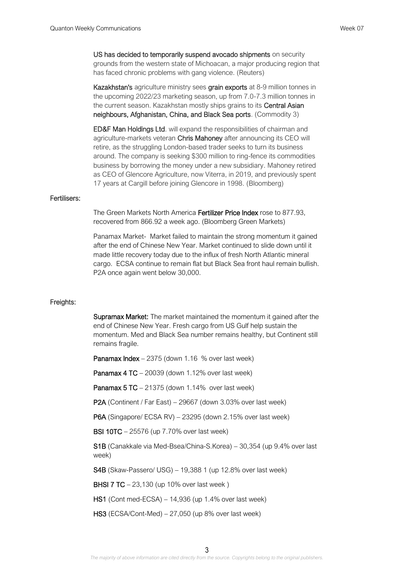US has decided to temporarily suspend avocado shipments on security grounds from the western state of Michoacan, a major producing region that has faced chronic problems with gang violence. (Reuters)

Kazakhstan's agriculture ministry sees grain exports at 8-9 million tonnes in the upcoming 2022/23 marketing season, up from 7.0-7.3 million tonnes in the current season. Kazakhstan mostly ships grains to its **Central Asian** neighbours, Afghanistan, China, and Black Sea ports. (Commodity 3)

ED&F Man Holdings Ltd. will expand the responsibilities of chairman and agriculture-markets veteran Chris Mahoney after announcing its CEO will retire, as the struggling London-based trader seeks to turn its business around. The company is seeking \$300 million to ring-fence its commodities business by borrowing the money under a new subsidiary. Mahoney retired as CEO of Glencore Agriculture, now Viterra, in 2019, and previously spent 17 years at Cargill before joining Glencore in 1998. (Bloomberg)

#### Fertilisers:

The Green Markets North America Fertilizer Price Index rose to 877.93, recovered from 866.92 a week ago. (Bloomberg Green Markets)

Panamax Market- Market failed to maintain the strong momentum it gained after the end of Chinese New Year. Market continued to slide down until it made little recovery today due to the influx of fresh North Atlantic mineral cargo. ECSA continue to remain flat but Black Sea front haul remain bullish. P2A once again went below 30,000.

#### Freights:

Supramax Market: The market maintained the momentum it gained after the end of Chinese New Year. Fresh cargo from US Gulf help sustain the momentum. Med and Black Sea number remains healthy, but Continent still remains fragile.

Panamax Index – 2375 (down 1.16 % over last week)

Panamax 4 TC – 20039 (down 1.12% over last week)

**Panamax 5 TC**  $-$  21375 (down 1.14% over last week)

P2A (Continent / Far East) – 29667 (down 3.03% over last week)

P6A (Singapore/ ECSA RV) – 23295 (down 2.15% over last week)

BSI 10TC – 25576 (up 7.70% over last week)

S1B (Canakkale via Med-Bsea/China-S.Korea) – 30,354 (up 9.4% over last week)

S4B (Skaw-Passero/ USG) – 19,388 1 (up 12.8% over last week)

BHSI 7 TC – 23,130 (up 10% over last week )

HS1 (Cont med-ECSA) – 14,936 (up 1.4% over last week)

HS3 (ECSA/Cont-Med) – 27,050 (up 8% over last week)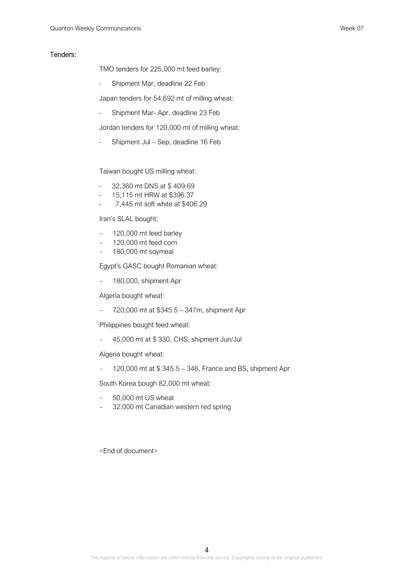### Tenders:

TMO tenders for 225,000 mt feed barley:

- Shipment Mar, deadline 22 Feb

Japan tenders for 54,692 mt of milling wheat:

- Shipment Mar- Apr, deadline 23 Feb

Jordan tenders for 120,000 mt of milling wheat:

Shipment Jul – Sep, deadline 16 Feb

Taiwan bought US milling wheat:

- 32,360 mt DNS at \$ 409.69
- 15,115 mt HRW at \$396.37
- 7,445 mt soft white at \$406.29

Iran's SLAL bought:

- 120,000 mt feed barley
- 120,000 mt feed corn
- 180,000 mt soymeal

Egypt's GASC bought Romanian wheat:

180,000, shipment Apr

Algeria bought wheat:

- 720,000 mt at \$345.5 – 347m, shipment Apr

Philippines bought feed wheat:

- 45,000 mt at \$ 330, CHS, shipment Jun/Jul

Algeria bought wheat:

- 120,000 mt at \$ 345.5 – 346, France and BS, shipment Apr

South Korea bough 82,000 mt wheat:

- 50,000 mt US wheat
- 32,000 mt Canadian western red spring

<End of document>